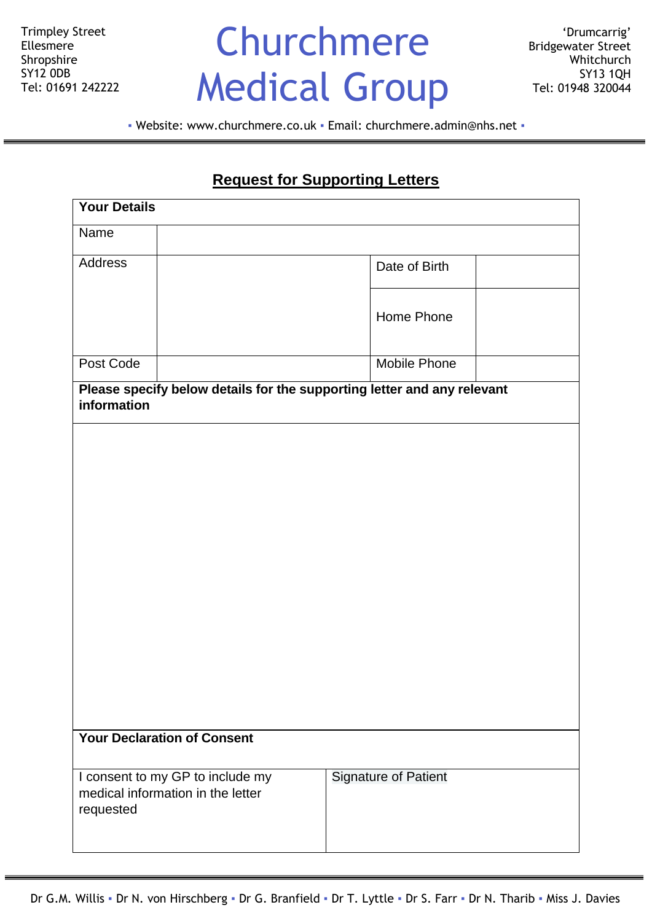Trimpley Street Ellesmere Shropshire SY12 0DB Tel: 01691 242222

# Churchmere Medical Group

▪ Website: [www.churchmere.co.uk](http://www.churchmere.co.uk/) ▪ Email: [churchmere.admin@nhs.net](mailto:churchmere.admin@nhs.net) ▪

### **Request for Supporting Letters**

| <b>Your Details</b>                                                                    |                             |
|----------------------------------------------------------------------------------------|-----------------------------|
| Name                                                                                   |                             |
| Address                                                                                | Date of Birth               |
|                                                                                        | Home Phone                  |
| Post Code                                                                              | <b>Mobile Phone</b>         |
| Please specify below details for the supporting letter and any relevant<br>information |                             |
|                                                                                        |                             |
|                                                                                        |                             |
|                                                                                        |                             |
|                                                                                        |                             |
|                                                                                        |                             |
|                                                                                        |                             |
|                                                                                        |                             |
| <b>Your Declaration of Consent</b>                                                     |                             |
| I consent to my GP to include my<br>medical information in the letter<br>requested     | <b>Signature of Patient</b> |